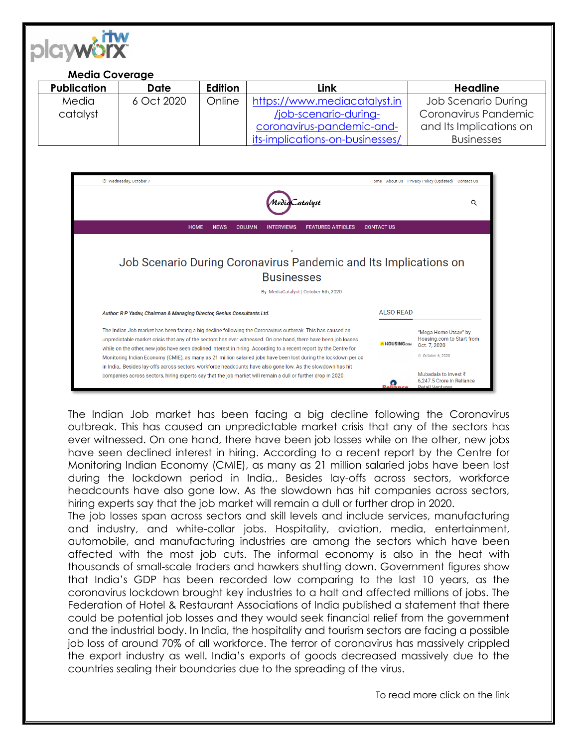

## **Media Coverage** Publication **Date Edition Link Headline** 6 Oct 2020 Online [https://www.mediacatalyst.in](https://www.mediacatalyst.in/job-scenario-during-coronavirus-pandemic-and-its-implications-on-businesses/) Job Scenario During Media Coronavirus Pandemic catalyst [/job-scenario-during](https://www.mediacatalyst.in/job-scenario-during-coronavirus-pandemic-and-its-implications-on-businesses/)[coronavirus-pandemic-and](https://www.mediacatalyst.in/job-scenario-during-coronavirus-pandemic-and-its-implications-on-businesses/)and Its Implications on [its-implications-on-businesses/](https://www.mediacatalyst.in/job-scenario-during-coronavirus-pandemic-and-its-implications-on-businesses/) Businesses @ Wednesday October 7 Home About Us Privacy Policy (Undated) Contact Us Catalyst Q **HOME NEWS COLUMN** INTERVIEWS FEATURED ARTICLES **CONTACT US**

## Job Scenario During Coronavirus Pandemic and Its Implications on **Businesses** By: MediaCatalyst | October 6th, 2020 **ALSO READ** Author: R P Yadav, Chairman & Managing Director, Genius Consultants Ltd.

The Indian Job market has been facing a big decline following the Coronavirus outbreak. This has caused an "Mega Home Utsay" by Housing.com to Start from unpredictable market crisis that any of the sectors has ever witnessed. On one hand, there have been job losses HOUSING.com Dct. 7, 2020 while on the other, new jobs have seen declined interest in hiring. According to a recent report by the Centre for ⊙ October 6, 2020 Monitoring Indian Economy (CMIE), as many as 21 million salaried jobs have been lost during the lockdown period in India,. Besides lay-offs across sectors, workforce headcounts have also gone low. As the slowdown has hit Mubadala to Invest ₹ companies across sectors, hiring experts say that the job market will remain a dull or further drop in 2020. 6,247.5 Crore in Reliance Ω

The Indian Job market has been facing a big decline following the Coronavirus outbreak. This has caused an unpredictable market crisis that any of the sectors has ever witnessed. On one hand, there have been job losses while on the other, new jobs have seen declined interest in hiring. According to a recent report by the Centre for Monitoring Indian Economy (CMIE), as many as 21 million salaried jobs have been lost during the lockdown period in India,. Besides lay-offs across sectors, workforce headcounts have also gone low. As the slowdown has hit companies across sectors, hiring experts say that the job market will remain a dull or further drop in 2020.

The job losses span across sectors and skill levels and include services, manufacturing and industry, and white-collar jobs. Hospitality, aviation, media, entertainment, automobile, and manufacturing industries are among the sectors which have been affected with the most job cuts. The informal economy is also in the heat with thousands of small-scale traders and hawkers shutting down. Government figures show that India's GDP has been recorded low comparing to the last 10 years, as the coronavirus lockdown brought key industries to a halt and affected millions of jobs. The Federation of Hotel & Restaurant Associations of India published a statement that there could be potential job losses and they would seek financial relief from the government and the industrial body. In India, the hospitality and tourism sectors are facing a possible job loss of around 70% of all workforce. The terror of coronavirus has massively crippled the export industry as well. India's exports of goods decreased massively due to the countries sealing their boundaries due to the spreading of the virus.

To read more click on the link